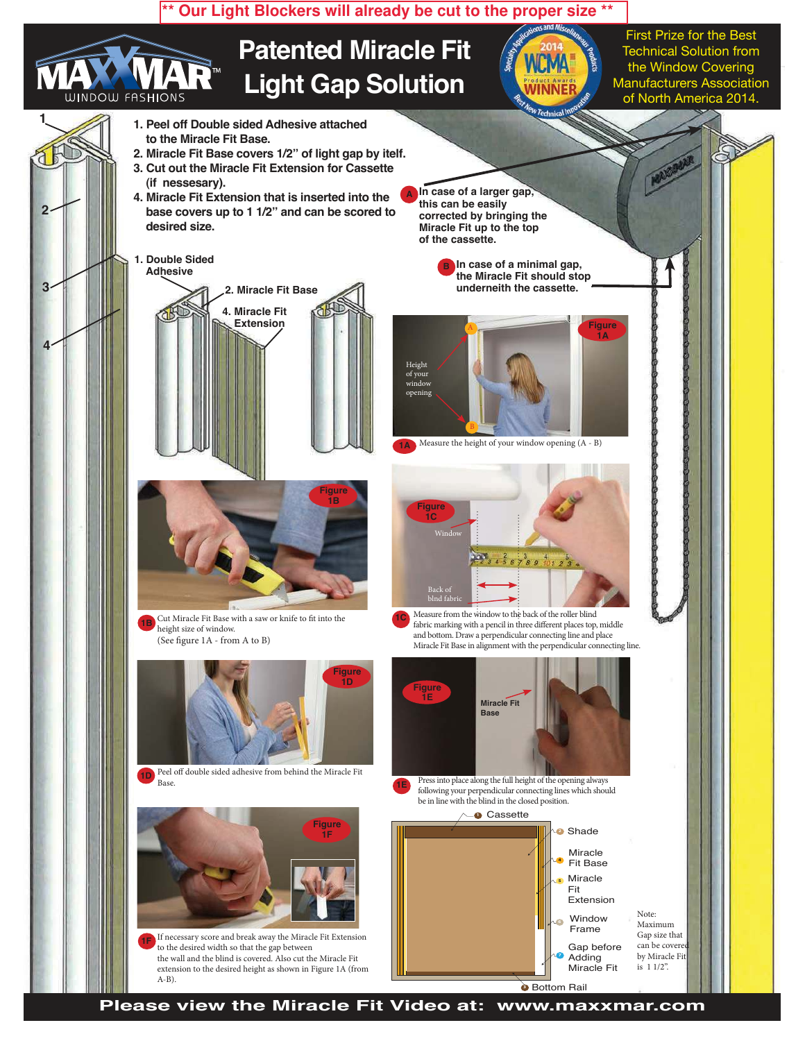

**Please view the Miracle Fit Video at: www.maxxmar.com**